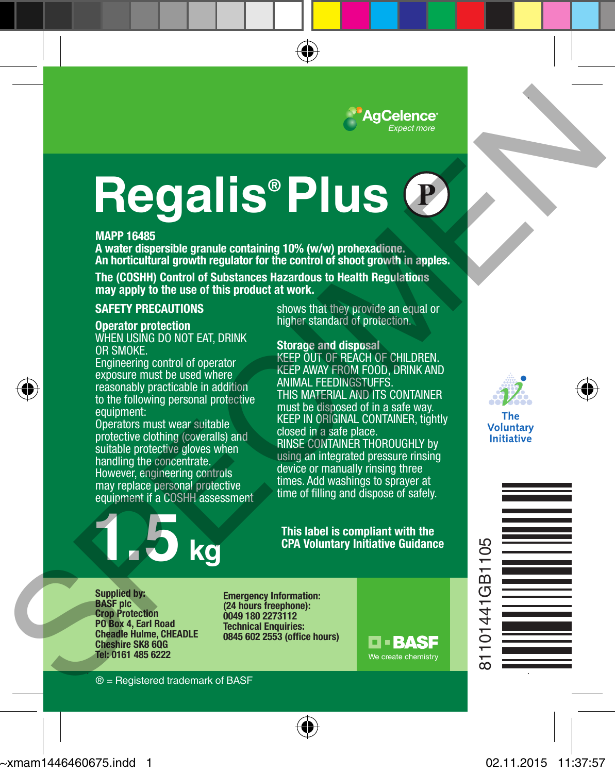

# **Regalis® Plus**

⊕

#### **MAPP 16485**

**A water dispersible granule containing 10% (w/w) prohexadione. An horticultural growth regulator for the control of shoot growth in apples.**

**The (COSHH) Control of Substances Hazardous to Health Regulations may apply to the use of this product at work.**

# **SAFETY PRECAUTIONS**

#### **Operator protection**

WHEN USING DO NOT EAT, DRINK OR SMOKE.

Engineering control of operator exposure must be used where reasonably practicable in addition to the following personal protective equipment:

Operators must wear suitable protective clothing (coveralls) and suitable protective gloves when handling the concentrate. However, engineering controls may replace personal protective equipment if a COSHH assessment



shows that they provide an equal or higher standard of protection.

# **Storage and disposal**

KEEP OUT OF REACH OF CHILDREN. KEEP AWAY FROM FOOD, DRINK AND ANIMAL FEEDINGSTUFFS. THIS MATERIAL AND ITS CONTAINER must be disposed of in a safe way. KEEP IN ORIGINAL CONTAINER, tightly closed in a safe place. RINSE CONTAINER THOROUGHLY by using an integrated pressure rinsing device or manually rinsing three times. Add washings to sprayer at time of filling and dispose of safely. Register and the property of the control of the control of the property of the control of the control of the control of the control of the control of the control of the control of the control of the control of the control

**This label is compliant with the CPA Voluntary Initiative Guidance**

**Supplied by: BASF plc Crop Protection PO Box 4, Earl Road Cheadle Hulme, CHEADLE Cheshire SK8 6QG Tel: 0161 485 6222**

**Emergency Information: (24 hours freephone): 0049 180 2273112 Technical Enquiries: 0845 602 2553 (office hours)**







 $@$  = Registered trademark of BASF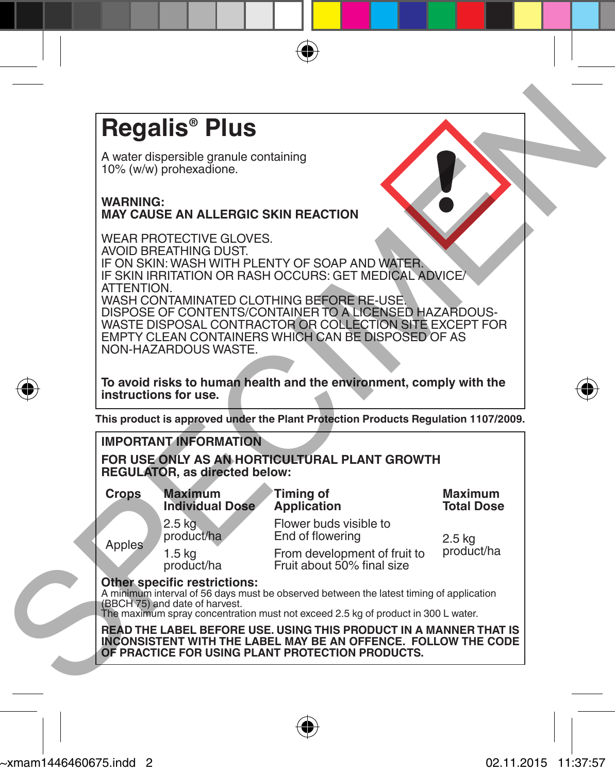

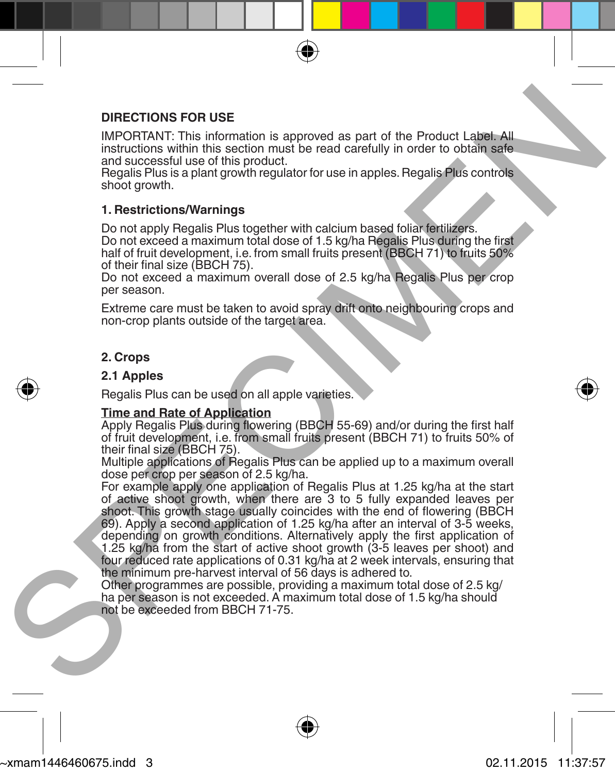# **DIRECTIONS FOR USE**

IMPORTANT: This information is approved as part of the Product Label. All instructions within this section must be read carefully in order to obtain safe and successful use of this product.

Regalis Plus is a plant growth regulator for use in apples. Regalis Plus controls shoot growth.

#### **1. Restrictions/Warnings**

Do not apply Regalis Plus together with calcium based foliar fertilizers. Do not exceed a maximum total dose of 1.5 kg/ha Regalis Plus during the first half of fruit development, i.e. from small fruits present (BBCH 71) to fruits 50% of their final size (BBCH 75).

Do not exceed a maximum overall dose of 2.5 kg/ha Regalis Plus per crop per season.

Extreme care must be taken to avoid spray drift onto neighbouring crops and non-crop plants outside of the target area.

## **2. Crops**

#### **2.1 Apples**

Regalis Plus can be used on all apple varieties.

#### **Time and Rate of Application**

Apply Regalis Plus during flowering (BBCH 55-69) and/or during the first half of fruit development, i.e. from small fruits present (BBCH 71) to fruits 50% of their final size (BBCH 75).

Multiple applications of Regalis Plus can be applied up to a maximum overall dose per crop per season of 2.5 kg/ha.

For example apply one application of Regalis Plus at 1.25 kg/ha at the start of active shoot growth, when there are 3 to 5 fully expanded leaves per shoot. This growth stage usually coincides with the end of flowering (BBCH 69). Apply a second application of 1.25 kg/ha after an interval of 3-5 weeks, depending on growth conditions. Alternatively apply the first application of 1.25 kg/ha from the start of active shoot growth (3-5 leaves per shoot) and four reduced rate applications of 0.31 kg/ha at 2 week intervals, ensuring that the minimum pre-harvest interval of 56 days is adhered to. DIRECTIONS FOR USE<br>
IMPORTANT: This information is approved as part of the Product Label AM<br>
Interval conserved as pear of the street carried in the Second and<br>
Figure is a plant growth required for the second carried the

Other programmes are possible, providing a maximum total dose of 2.5 kg/ ha per season is not exceeded. A maximum total dose of 1.5 kg/ha should not be exceeded from BBCH 71-75.

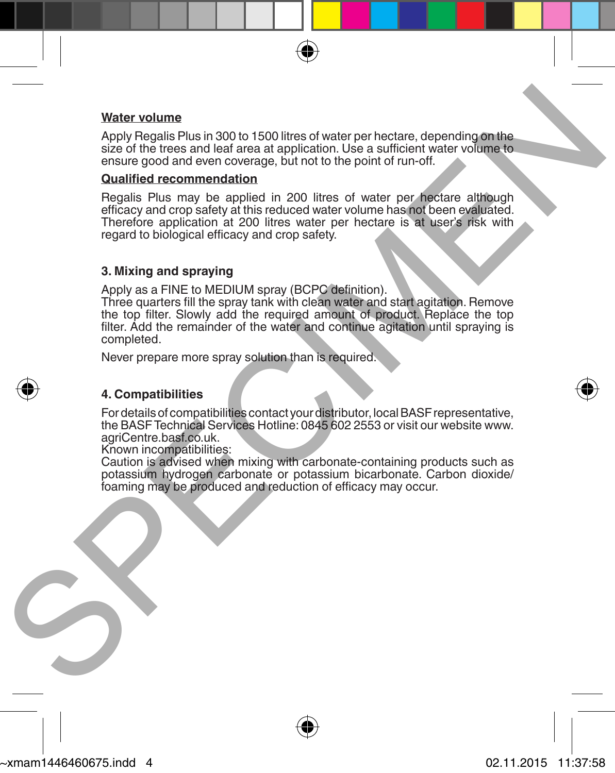#### **Water volume**

Apply Regalis Plus in 300 to 1500 litres of water per hectare, depending on the size of the trees and leaf area at application. Use a sufficient water volume to ensure good and even coverage, but not to the point of run-off.

#### **Qualified recommendation**

Regalis Plus may be applied in 200 litres of water per hectare although efficacy and crop safety at this reduced water volume has not been evaluated. Therefore application at 200 litres water per hectare is at user's risk with regard to biological efficacy and crop safety. Water volume<br>
Apply Regalas Plus in 300 to 1500 litres of water per hectare, depending on the<br>
size of the trees and beta case at policieation. Use a sufficient website rollome<br>
State in the state of state and state and sp

## **3. Mixing and spraying**

Apply as a FINE to MEDIUM spray (BCPC definition).

Three quarters fill the spray tank with clean water and start agitation. Remove the top filter. Slowly add the required amount of product. Replace the top filter. Add the remainder of the water and continue agitation until spraying is completed.

Never prepare more spray solution than is required.



#### **4. Compatibilities**

For details of compatibilities contact your distributor, local BASF representative, the BASF Technical Services Hotline: 0845 602 2553 or visit our website www. agriCentre.basf.co.uk.

Known incompatibilities:

Caution is advised when mixing with carbonate-containing products such as potassium hydrogen carbonate or potassium bicarbonate. Carbon dioxide/ foaming may be produced and reduction of efficacy may occur.

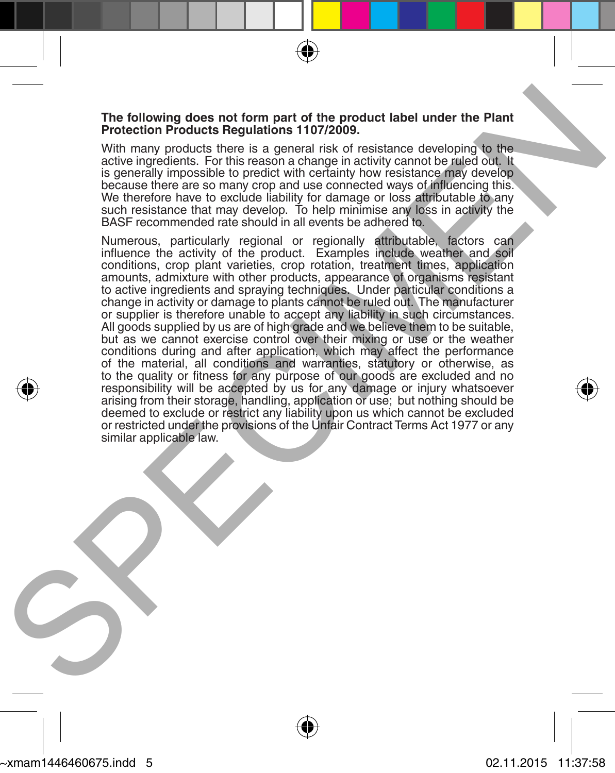#### **The following does not form part of the product label under the Plant Protection Products Regulations 1107/2009.**

With many products there is a general risk of resistance developing to the active ingredients. For this reason a change in activity cannot be ruled out. It is generally impossible to predict with certainty how resistance may develop because there are so many crop and use connected ways of influencing this. We therefore have to exclude liability for damage or loss attributable to any such resistance that may develop. To help minimise any loss in activity the BASF recommended rate should in all events be adhered to.

Numerous, particularly regional or regionally attributable, factors can influence the activity of the product. Examples include weather and soil conditions, crop plant varieties, crop rotation, treatment times, application amounts, admixture with other products, appearance of organisms resistant to active ingredients and spraying techniques. Under particular conditions a change in activity or damage to plants cannot be ruled out. The manufacturer or supplier is therefore unable to accept any liability in such circumstances. All goods supplied by us are of high grade and we believe them to be suitable, but as we cannot exercise control over their mixing or use or the weather conditions during and after application, which may affect the performance of the material, all conditions and warranties, statutory or otherwise, as to the quality or fitness for any purpose of our goods are excluded and no responsibility will be accepted by us for any damage or injury whatsoever arising from their storage, handling, application or use; but nothing should be deemed to exclude or restrict any liability upon us which cannot be excluded or restricted under the provisions of the Unfair Contract Terms Act 1977 or any similar applicable law. The following does not form part of the product label under the Plant<br>
Protection Products Regulations 110/7/2002, resistance developing to the<br>
action incredible model of the magnitron particle in nearby cannot be nuclear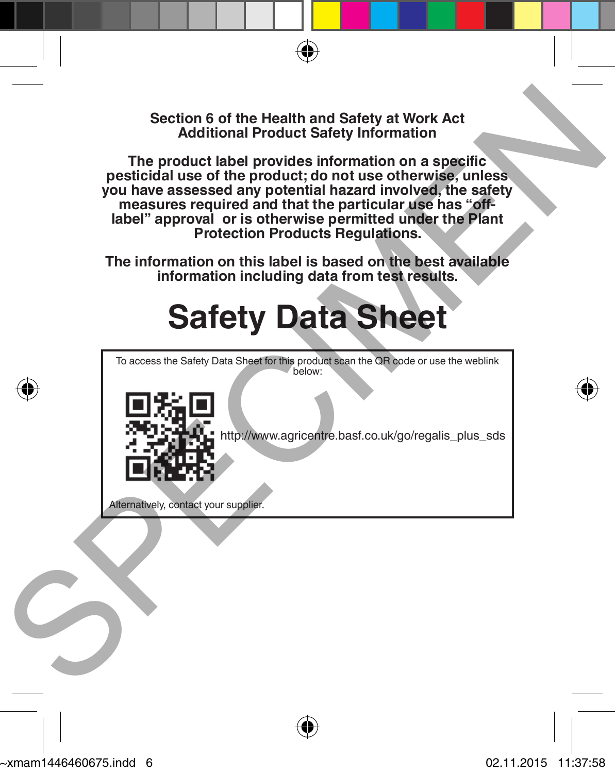